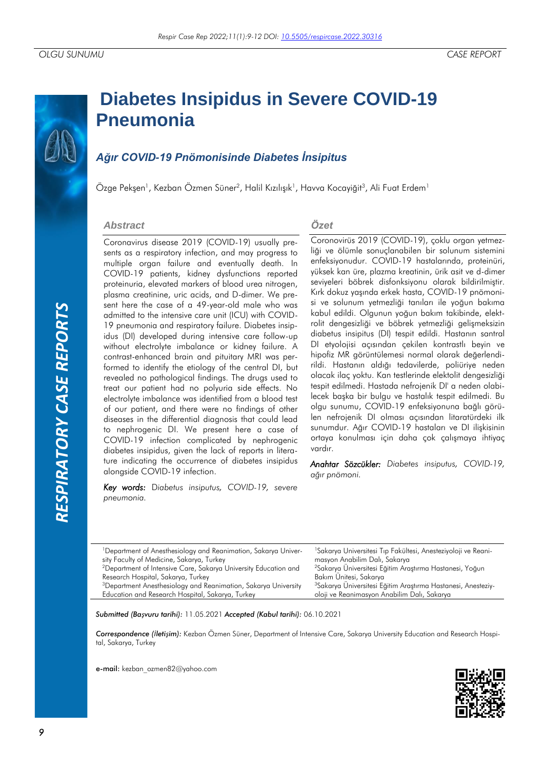# RESPIRATORY CASE REPORTS *RESPIRATORY CASE REPORTS*

# **Diabetes Insipidus in Severe COVID-19 Pneumonia**

## *Ağır COVID-19 Pnömonisinde Diabetes İnsipitus*

Özge Pekşen<sup>1</sup>, Kezban Özmen Süner<sup>2</sup>, Halil Kızılışık<sup>1</sup>, Havva Kocayiğit<sup>3</sup>, Ali Fuat Erdem<sup>1</sup>

### *Abstract*

Coronavirus disease 2019 (COVID-19) usually presents as a respiratory infection, and may progress to multiple organ failure and eventually death. In COVID-19 patients, kidney dysfunctions reported proteinuria, elevated markers of blood urea nitrogen, plasma creatinine, uric acids, and D-dimer. We present here the case of a 49-year-old male who was admitted to the intensive care unit (ICU) with COVID-19 pneumonia and respiratory failure. Diabetes insipidus (DI) developed during intensive care follow-up without electrolyte imbalance or kidney failure. A contrast-enhanced brain and pituitary MRI was performed to identify the etiology of the central DI, but revealed no pathological findings. The drugs used to treat our patient had no polyuria side effects. No electrolyte imbalance was identified from a blood test of our patient, and there were no findings of other diseases in the differential diagnosis that could lead to nephrogenic DI. We present here a case of COVID-19 infection complicated by nephrogenic diabetes insipidus, given the lack of reports in literature indicating the occurrence of diabetes insipidus alongside COVID-19 infection.

*Key words:* D*iabetus insiputus, COVID-19, severe pneumonia.*

### *Özet*

Coronovirüs 2019 (COVID-19), çoklu organ yetmezliği ve ölümle sonuçlanabilen bir solunum sistemini enfeksiyonudur. COVID-19 hastalarında, proteinüri, yüksek kan üre, plazma kreatinin, ürik asit ve d-dimer seviyeleri böbrek disfonksiyonu olarak bildirilmiştir. Kırk dokuz yaşında erkek hasta, COVID-19 pnömonisi ve solunum yetmezliği tanıları ile yoğun bakıma kabul edildi. Olgunun yoğun bakım takibinde, elektrolit dengesizliği ve böbrek yetmezliği gelişmeksizin diabetus insipitus (DI) tespit edildi. Hastanın santral DI etyolojisi açısından çekilen kontrastlı beyin ve hipofiz MR görüntülemesi normal olarak değerlendirildi. Hastanın aldığı tedavilerde, poliüriye neden olacak ilaç yoktu. Kan testlerinde elektolit dengesizliği tespit edilmedi. Hastada nefrojenik DI' a neden olabilecek başka bir bulgu ve hastalık tespit edilmedi. Bu olgu sunumu, COVID-19 enfeksiyonuna bağlı görülen nefrojenik DI olması açısından litaratürdeki ilk sunumdur. Ağır COVID-19 hastaları ve DI ilişkisinin ortaya konulması için daha çok çalışmaya ihtiyaç vardır.

*Anahtar Sözcükler: Diabetes insiputus, COVID-19, ağır pnömoni.*

| <sup>1</sup> Department of Anesthesiology and Reanimation, Sakarya Univer-<br>sity Faculty of Medicine, Sakarya, Turkey<br><sup>2</sup> Department of Intensive Care, Sakarya University Education and | <sup>1</sup> Sakarya Universitesi Tıp Fakültesi, Anesteziyoloji ve Reani-<br>masyon Anabilim Dalı, Sakarya<br><sup>2</sup> Sakarya Üniversitesi Eğitim Araştırma Hastanesi, Yoğun |
|--------------------------------------------------------------------------------------------------------------------------------------------------------------------------------------------------------|-----------------------------------------------------------------------------------------------------------------------------------------------------------------------------------|
| Research Hospital, Sakarya, Turkey                                                                                                                                                                     | Bakım Ünitesi, Sakarya                                                                                                                                                            |
| <sup>3</sup> Department Anesthesiology and Reanimation, Sakarya University                                                                                                                             | <sup>3</sup> Sakarya Üniversitesi Eğitim Araştırma Hastanesi, Anesteziy-                                                                                                          |
| Education and Research Hospital, Sakarya, Turkey                                                                                                                                                       | oloji ve Reanimasyon Anabilim Dalı, Sakarya                                                                                                                                       |

*Submitted (Başvuru tarihi):* 11.05.2021 *Accepted (Kabul tarihi):* 06.10.2021

*Correspondence (İletişim):* Kezban Özmen Süner, Department of Intensive Care, Sakarya University Education and Research Hospital, Sakarya, Turkey

e-mail: kezban\_ozmen82@yahoo.com

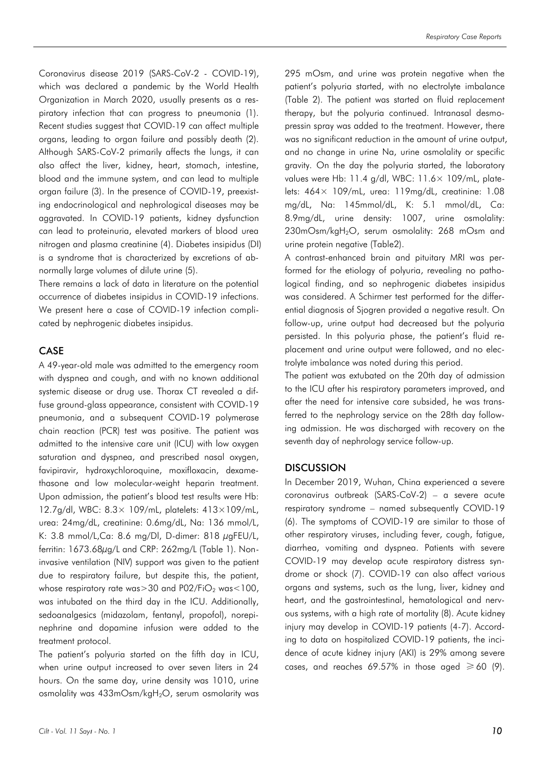Coronavirus disease 2019 (SARS-CoV-2 - COVID-19), which was declared a pandemic by the World Health Organization in March 2020, usually presents as a respiratory infection that can progress to pneumonia (1). Recent studies suggest that COVID-19 can affect multiple organs, leading to organ failure and possibly death (2). Although SARS-CoV-2 primarily affects the lungs, it can also affect the liver, kidney, heart, stomach, intestine, blood and the immune system, and can lead to multiple organ failure (3). In the presence of COVID-19, preexisting endocrinological and nephrological diseases may be aggravated. In COVID-19 patients, kidney dysfunction can lead to proteinuria, elevated markers of blood urea nitrogen and plasma creatinine (4). Diabetes insipidus (DI) is a syndrome that is characterized by excretions of abnormally large volumes of dilute urine (5).

There remains a lack of data in literature on the potential occurrence of diabetes insipidus in COVID-19 infections. We present here a case of COVID-19 infection complicated by nephrogenic diabetes insipidus.

### CASE

A 49-year-old male was admitted to the emergency room with dyspnea and cough, and with no known additional systemic disease or drug use. Thorax CT revealed a diffuse ground-glass appearance, consistent with COVID-19 pneumonia, and a subsequent COVID-19 polymerase chain reaction (PCR) test was positive. The patient was admitted to the intensive care unit (ICU) with low oxygen saturation and dyspnea, and prescribed nasal oxygen, favipiravir, hydroxychloroquine, moxifloxacin, dexamethasone and low molecular-weight heparin treatment. Upon admission, the patient's blood test results were Hb: 12.7g/dl, WBC: 8.3× 109/mL, platelets: 413×109/mL, urea: 24mg/dL, creatinine: 0.6mg/dL, Na: 136 mmol/L, K: 3.8 mmol/L,Ca: 8.6 mg/Dl, D-dimer: 818 µgFEU/L, ferritin: 1673.68µg/L and CRP: 262mg/L (Table 1). Noninvasive ventilation (NIV) support was given to the patient due to respiratory failure, but despite this, the patient, whose respiratory rate was $>$ 30 and P02/FiO<sub>2</sub> was $<$ 100, was intubated on the third day in the ICU. Additionally, sedoanalgesics (midazolam, fentanyl, propofol), norepinephrine and dopamine infusion were added to the treatment protocol.

The patient's polyuria started on the fifth day in ICU, when urine output increased to over seven liters in 24 hours. On the same day, urine density was 1010, urine osmolality was 433mOsm/kgH2O, serum osmolarity was 295 mOsm, and urine was protein negative when the patient's polyuria started, with no electrolyte imbalance (Table 2). The patient was started on fluid replacement therapy, but the polyuria continued. Intranasal desmopressin spray was added to the treatment. However, there was no significant reduction in the amount of urine output, and no change in urine Na, urine osmolality or specific gravity. On the day the polyuria started, the laboratory values were Hb: 11.4 g/dl, WBC: 11.6× 109/mL, platelets:  $464 \times 109$ /mL, urea: 119mg/dL, creatinine: 1.08 mg/dL, Na: 145mmol/dL, K: 5.1 mmol/dL, Ca: 8.9mg/dL, urine density: 1007, urine osmolality: 230mOsm/kgH2O, serum osmolality: 268 mOsm and urine protein negative (Table2).

A contrast-enhanced brain and pituitary MRI was performed for the etiology of polyuria, revealing no pathological finding, and so nephrogenic diabetes insipidus was considered. A Schirmer test performed for the differential diagnosis of Sjogren provided a negative result. On follow-up, urine output had decreased but the polyuria persisted. In this polyuria phase, the patient's fluid replacement and urine output were followed, and no electrolyte imbalance was noted during this period.

The patient was extubated on the 20th day of admission to the ICU after his respiratory parameters improved, and after the need for intensive care subsided, he was transferred to the nephrology service on the 28th day following admission. He was discharged with recovery on the seventh day of nephrology service follow-up.

### **DISCUSSION**

In December 2019, Wuhan, China experienced a severe coronavirus outbreak (SARS-CoV-2) – a severe acute respiratory syndrome – named subsequently COVID-19 (6). The symptoms of COVID-19 are similar to those of other respiratory viruses, including fever, cough, fatigue, diarrhea, vomiting and dyspnea. Patients with severe COVID-19 may develop acute respiratory distress syndrome or shock (7). COVID-19 can also affect various organs and systems, such as the lung, liver, kidney and heart, and the gastrointestinal, hematological and nervous systems, with a high rate of mortality (8). Acute kidney injury may develop in COVID-19 patients (4-7). According to data on hospitalized COVID-19 patients, the incidence of acute kidney injury (AKI) is 29% among severe cases, and reaches 69.57% in those aged  $\geq 60$  (9).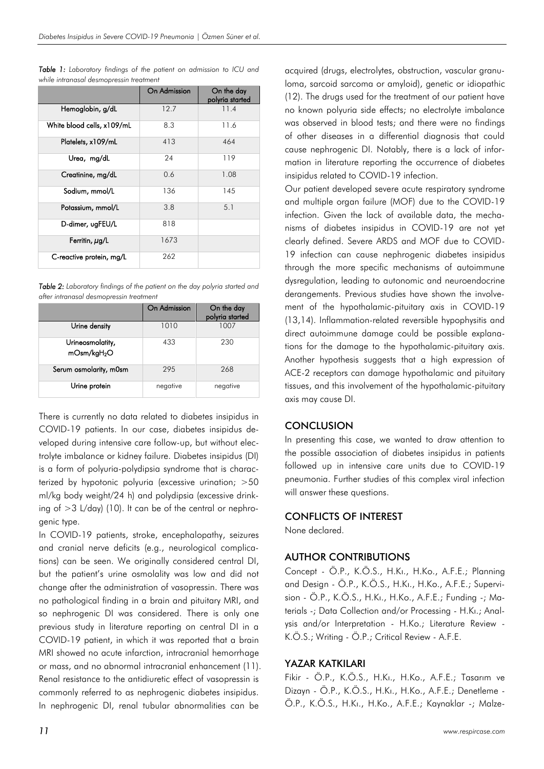|                            | On Admission | On the day<br>polyria started |
|----------------------------|--------------|-------------------------------|
| Hemoglobin, g/dL           | 12.7         | 11.4                          |
| White blood cells, x109/mL | 8.3          | 11.6                          |
| Platelets, x109/mL         | 413          | 464                           |
| Urea, mg/dL                | 24           | 119                           |
| Creatinine, mg/dL          | 0.6          | 1.08                          |
| Sodium, mmol/L             | 136          | 145                           |
| Potassium, mmol/L          | 3.8          | 5.1                           |
| D-dimer, ugFEU/L           | 818          |                               |
| Ferritin, µg/L             | 1673         |                               |
| C-reactive protein, mg/L   | 262          |                               |

*Table 1: Laboratory findings of the patient on admission to ICU and while intranasal desmopressin treatment*

*Table 2: Laboratory findings of the patient on the day polyria started and after intranasal desmopressin treatment*

|                                             | On Admission | On the day<br>polyria started |
|---------------------------------------------|--------------|-------------------------------|
| Urine density                               | 1010         | 1007                          |
| Urineosmolatity,<br>mOsm/kgH <sub>2</sub> O | 433          | 230                           |
| Serum osmolarity, m0sm                      | 295          | 268                           |
| Urine protein                               | negative     | negative                      |

There is currently no data related to diabetes insipidus in COVID-19 patients. In our case, diabetes insipidus developed during intensive care follow-up, but without electrolyte imbalance or kidney failure. Diabetes insipidus (DI) is a form of polyuria-polydipsia syndrome that is characterized by hypotonic polyuria (excessive urination; >50 ml/kg body weight/24 h) and polydipsia (excessive drinking of >3 L/day) (10). It can be of the central or nephrogenic type.

In COVID-19 patients, stroke, encephalopathy, seizures and cranial nerve deficits (e.g., neurological complications) can be seen. We originally considered central DI, but the patient's urine osmolality was low and did not change after the administration of vasopressin. There was no pathological finding in a brain and pituitary MRI, and so nephrogenic DI was considered. There is only one previous study in literature reporting on central DI in a COVID-19 patient, in which it was reported that a brain MRI showed no acute infarction, intracranial hemorrhage or mass, and no abnormal intracranial enhancement (11). Renal resistance to the antidiuretic effect of vasopressin is commonly referred to as nephrogenic diabetes insipidus. In nephrogenic DI, renal tubular abnormalities can be

acquired (drugs, electrolytes, obstruction, vascular granuloma, sarcoid sarcoma or amyloid), genetic or idiopathic (12). The drugs used for the treatment of our patient have no known polyuria side effects; no electrolyte imbalance was observed in blood tests; and there were no findings of other diseases in a differential diagnosis that could cause nephrogenic DI. Notably, there is a lack of information in literature reporting the occurrence of diabetes insipidus related to COVID-19 infection.

Our patient developed severe acute respiratory syndrome and multiple organ failure (MOF) due to the COVID-19 infection. Given the lack of available data, the mechanisms of diabetes insipidus in COVID-19 are not yet clearly defined. Severe ARDS and MOF due to COVID-19 infection can cause nephrogenic diabetes insipidus through the more specific mechanisms of autoimmune dysregulation, leading to autonomic and neuroendocrine derangements. Previous studies have shown the involvement of the hypothalamic-pituitary axis in COVID-19 (13,14). Inflammation-related reversible hypophysitis and direct autoimmune damage could be possible explanations for the damage to the hypothalamic-pituitary axis. Another hypothesis suggests that a high expression of ACE-2 receptors can damage hypothalamic and pituitary tissues, and this involvement of the hypothalamic-pituitary axis may cause DI.

### **CONCLUSION**

In presenting this case, we wanted to draw attention to the possible association of diabetes insipidus in patients followed up in intensive care units due to COVID-19 pneumonia. Further studies of this complex viral infection will answer these auestions.

### CONFLICTS OF INTEREST

None declared.

### AUTHOR CONTRIBUTIONS

Concept - Ö.P., K.Ö.S., H.Kı., H.Ko., A.F.E.; Planning and Design - Ö.P., K.Ö.S., H.Kı., H.Ko., A.F.E.; Supervision - Ö.P., K.Ö.S., H.Kı., H.Ko., A.F.E.; Funding -; Materials -; Data Collection and/or Processing - H.Kı.; Analysis and/or Interpretation - H.Ko.; Literature Review - K.Ö.S.; Writing - Ö.P.; Critical Review - A.F.E.

### YAZAR KATKILARI

Fikir - Ö.P., K.Ö.S., H.Kı., H.Ko., A.F.E.; Tasarım ve Dizayn - Ö.P., K.Ö.S., H.Kı., H.Ko., A.F.E.; Denetleme - Ö.P., K.Ö.S., H.Kı., H.Ko., A.F.E.; Kaynaklar -; Malze-